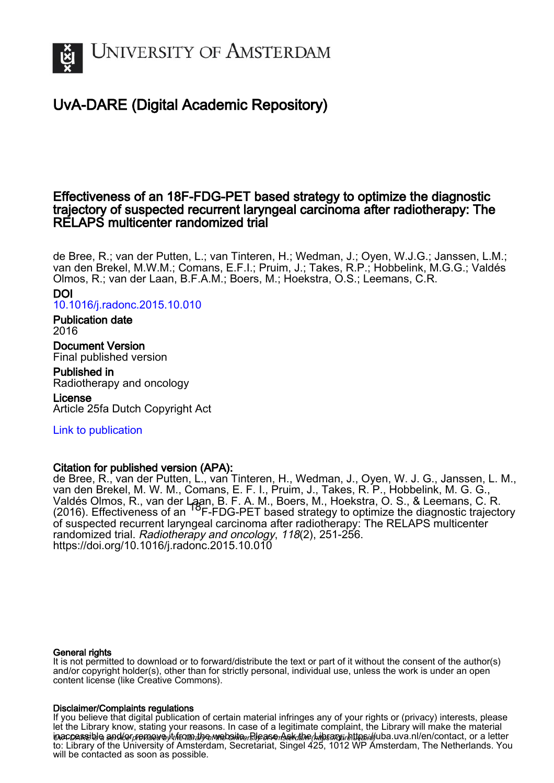

# UvA-DARE (Digital Academic Repository)

# Effectiveness of an 18F-FDG-PET based strategy to optimize the diagnostic trajectory of suspected recurrent laryngeal carcinoma after radiotherapy: The RELAPS multicenter randomized trial

de Bree, R.; van der Putten, L.; van Tinteren, H.; Wedman, J.; Oyen, W.J.G.; Janssen, L.M.; van den Brekel, M.W.M.; Comans, E.F.I.; Pruim, J.; Takes, R.P.; Hobbelink, M.G.G.; Valdés Olmos, R.; van der Laan, B.F.A.M.; Boers, M.; Hoekstra, O.S.; Leemans, C.R.

DOI

[10.1016/j.radonc.2015.10.010](https://doi.org/10.1016/j.radonc.2015.10.010)

## Publication date 2016

Document Version Final published version

# Published in Radiotherapy and oncology

License Article 25fa Dutch Copyright Act

# [Link to publication](https://dare.uva.nl/personal/pure/en/publications/effectiveness-of-an-18ffdgpet-based-strategy-to-optimize-the-diagnostic-trajectory-of-suspected-recurrent-laryngeal-carcinoma-after-radiotherapy-the-relaps-multicenter-randomized-trial(70075331-a4f5-4e2d-9b6d-af1782b1e008).html)

# Citation for published version (APA):

de Bree, R., van der Putten, L., van Tinteren, H., Wedman, J., Oyen, W. J. G., Janssen, L. M., van den Brekel, M. W. M., Comans, E. F. I., Pruim, J., Takes, R. P., Hobbelink, M. G. G., Valdés Olmos, R., van der Laan, B. F. A. M., Boers, M., Hoekstra, O. S., & Leemans, C. R.<br>(2016). Effectiveness of an ' <sup>O</sup>F-FDG-PET based strategy to optimize the diagnostic trajectory of suspected recurrent laryngeal carcinoma after radiotherapy: The RELAPS multicenter randomized trial. Radiotherapy and oncology, 118(2), 251-256. <https://doi.org/10.1016/j.radonc.2015.10.010>

## General rights

It is not permitted to download or to forward/distribute the text or part of it without the consent of the author(s) and/or copyright holder(s), other than for strictly personal, individual use, unless the work is under an open content license (like Creative Commons).

## Disclaimer/Complaints regulations

i**naccessible and/or remove** it from the website. Blease Ask the Library: https://uba.uva.nl/en/contact, or a letter If you believe that digital publication of certain material infringes any of your rights or (privacy) interests, please let the Library know, stating your reasons. In case of a legitimate complaint, the Library will make the material to: Library of the University of Amsterdam, Secretariat, Singel 425, 1012 WP Amsterdam, The Netherlands. You will be contacted as soon as possible.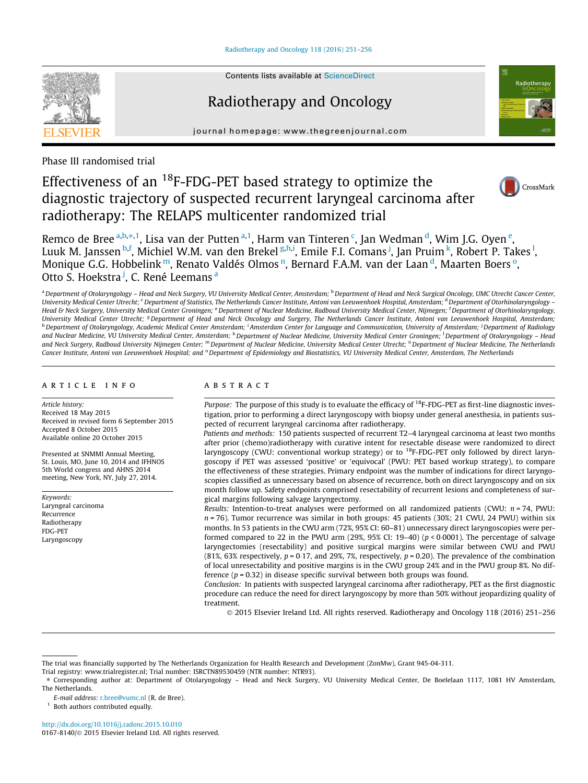[Radiotherapy and Oncology 118 \(2016\) 251–256](http://dx.doi.org/10.1016/j.radonc.2015.10.010)



# Radiotherapy and Oncology

journal homepage: [www.thegreenjournal.com](http://www.thegreenjournal.com)



Phase III randomised trial

# Effectiveness of an  $^{18}$ F-FDG-PET based strategy to optimize the diagnostic trajectory of suspected recurrent laryngeal carcinoma after radiotherapy: The RELAPS multicenter randomized trial



Remco de Bree <sup>a,b, $*,$ 1, Lisa van der Putten <sup>a,1</sup>, Harm van Tinteren <sup>c</sup>, Jan Wedman <sup>d</sup>, Wim J.G. Oyen <sup>e</sup>,</sup> Luuk M. Janssen <sup>b,f</sup>, Michiel W.M. van den Brekel <sup>g,h,i</sup>, Emile F.I. Comans <sup>j</sup>, Jan Pruim <sup>k</sup>, Robert P. Takes <sup>l</sup>, Monique G.G. Hobbelink <sup>m</sup>, Renato Valdés Olmos <sup>n</sup>, Bernard F.A.M. van der Laan <sup>d</sup>, Maarten Boers °, Otto S. Hoekstra <sup>j</sup>, C. René Leemans <sup>a</sup>

a Department of Otolaryngology – Head and Neck Surgery, VU University Medical Center, Amsterdam; **b** Department of Head and Neck Surgical Oncology, UMC Utrecht Cancer Center, University Medical Center Utrecht; <sup>c</sup>Department of Statistics, The Netherlands Cancer Institute, Antoni van Leeuwenhoek Hospital, Amsterdam; <sup>d</sup>Department of Otorhinolaryngology -Head & Neck Surgery, University Medical Center Groningen; <sup>e</sup> Department of Nuclear Medicine, Radboud University Medical Center, Nijmegen; <sup>f</sup> Department of Otorhinolaryngology, University Medical Center Utrecht; <sup>g</sup>Department of Head and Neck Oncology and Surgery, The Netherlands Cancer Institute, Antoni van Leeuwenhoek Hospital, Amsterdam; <sup>h</sup> Department of Otolaryngology, Academic Medical Center Amsterdam; <sup>i</sup> Amsterdam Center for Language and Communication, University of Amsterdam; <sup>i</sup> Department of Radiology and Nuclear Medicine, VU University Medical Center, Amsterdam; <sup>k</sup> Department of Nuclear Medicine, University Medical Center Groningen; <sup>1</sup> Department of Otolaryngology – Head and Neck Surgery, Radboud University Nijmegen Center; <sup>m</sup> Department of Nuclear Medicine, University Medical Center Utrecht; <sup>n</sup> Department of Nuclear Medicine, The Netherlands Cancer Institute, Antoni van Leeuwenhoek Hospital; and <sup>o</sup> Department of Epidemiology and Biostatistics, VU University Medical Center, Amsterdam, The Netherlands

## article info

Article history: Received 18 May 2015 Received in revised form 6 September 2015 Accepted 8 October 2015 Available online 20 October 2015

Presented at SNMMI Annual Meeting, St. Louis, MO, June 10, 2014 and IFHNOS 5th World congress and AHNS 2014 meeting, New York, NY, July 27, 2014.

Keywords: Laryngeal carcinoma Recurrence Radiotherapy FDG-PET Laryngoscopy

## **ABSTRACT**

Purpose: The purpose of this study is to evaluate the efficacy of <sup>18</sup>F-FDG-PET as first-line diagnostic investigation, prior to performing a direct laryngoscopy with biopsy under general anesthesia, in patients suspected of recurrent laryngeal carcinoma after radiotherapy.

Patients and methods: 150 patients suspected of recurrent T2–4 laryngeal carcinoma at least two months after prior (chemo)radiotherapy with curative intent for resectable disease were randomized to direct laryngoscopy (CWU: conventional workup strategy) or to <sup>18</sup>F-FDG-PET only followed by direct laryngoscopy if PET was assessed 'positive' or 'equivocal' (PWU: PET based workup strategy), to compare the effectiveness of these strategies. Primary endpoint was the number of indications for direct laryngoscopies classified as unnecessary based on absence of recurrence, both on direct laryngoscopy and on six month follow up. Safety endpoints comprised resectability of recurrent lesions and completeness of surgical margins following salvage laryngectomy.

Results: Intention-to-treat analyses were performed on all randomized patients (CWU:  $n = 74$ , PWU:  $n = 76$ ). Tumor recurrence was similar in both groups: 45 patients (30%; 21 CWU, 24 PWU) within six months. In 53 patients in the CWU arm (72%, 95% CI: 60–81) unnecessary direct laryngoscopies were performed compared to 22 in the PWU arm (29%, 95% CI: 19-40) ( $p < 0.0001$ ). The percentage of salvage laryngectomies (resectability) and positive surgical margins were similar between CWU and PWU (81%, 63% respectively,  $p = 0.17$ , and 29%, 7%, respectively,  $p = 0.20$ ). The prevalence of the combination of local unresectability and positive margins is in the CWU group 24% and in the PWU group 8%. No difference  $(p = 0.32)$  in disease specific survival between both groups was found.

Conclusion: In patients with suspected laryngeal carcinoma after radiotherapy, PET as the first diagnostic procedure can reduce the need for direct laryngoscopy by more than 50% without jeopardizing quality of treatment.

2015 Elsevier Ireland Ltd. All rights reserved. Radiotherapy and Oncology 118 (2016) 251–256

<sup>1</sup> Both authors contributed equally.

<http://dx.doi.org/10.1016/j.radonc.2015.10.010> 0167-8140/ 2015 Elsevier Ireland Ltd. All rights reserved.

The trial was financially supported by The Netherlands Organization for Health Research and Development (ZonMw), Grant 945-04-311.

Trial registry: www.trialregister.nl; Trial number: ISRCTN89530459 (NTR number: NTR93).

<sup>⇑</sup> Corresponding author at: Department of Otolaryngology – Head and Neck Surgery, VU University Medical Center, De Boelelaan 1117, 1081 HV Amsterdam, The Netherlands.

E-mail address: [r.bree@vumc.nl](mailto:r.bree@vumc.nl) (R. de Bree).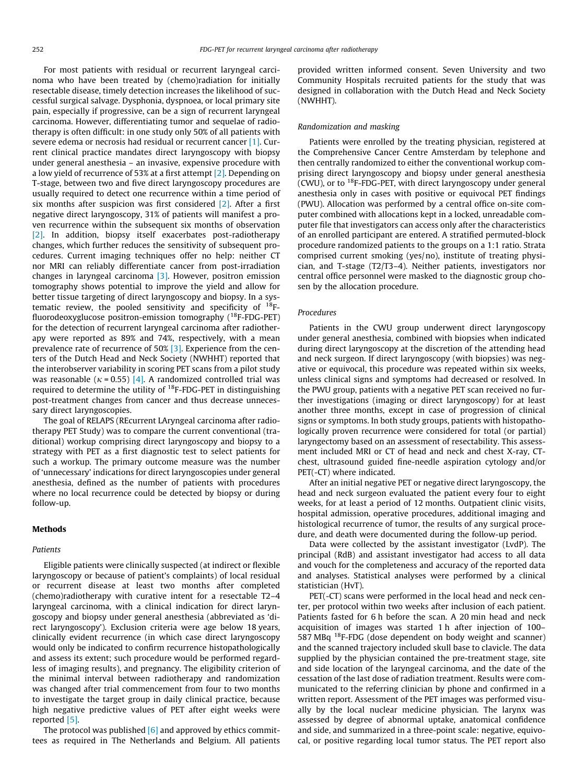For most patients with residual or recurrent laryngeal carcinoma who have been treated by (chemo)radiation for initially resectable disease, timely detection increases the likelihood of successful surgical salvage. Dysphonia, dyspnoea, or local primary site pain, especially if progressive, can be a sign of recurrent laryngeal carcinoma. However, differentiating tumor and sequelae of radiotherapy is often difficult: in one study only 50% of all patients with severe edema or necrosis had residual or recurrent cancer [\[1\]](#page-6-0). Current clinical practice mandates direct laryngoscopy with biopsy under general anesthesia – an invasive, expensive procedure with a low yield of recurrence of 53% at a first attempt [\[2\].](#page-6-0) Depending on T-stage, between two and five direct laryngoscopy procedures are usually required to detect one recurrence within a time period of six months after suspicion was first considered [\[2\].](#page-6-0) After a first negative direct laryngoscopy, 31% of patients will manifest a proven recurrence within the subsequent six months of observation [\[2\]](#page-6-0). In addition, biopsy itself exacerbates post-radiotherapy changes, which further reduces the sensitivity of subsequent procedures. Current imaging techniques offer no help: neither CT nor MRI can reliably differentiate cancer from post-irradiation changes in laryngeal carcinoma [\[3\].](#page-6-0) However, positron emission tomography shows potential to improve the yield and allow for better tissue targeting of direct laryngoscopy and biopsy. In a systematic review, the pooled sensitivity and specificity of  $^{18}$ Ffluorodeoxyglucose positron-emission tomography  $(^{18}F-FDG-PET)$ for the detection of recurrent laryngeal carcinoma after radiotherapy were reported as 89% and 74%, respectively, with a mean prevalence rate of recurrence of 50% [\[3\].](#page-6-0) Experience from the centers of the Dutch Head and Neck Society (NWHHT) reported that the interobserver variability in scoring PET scans from a pilot study was reasonable ( $\kappa$  = 0.55) [\[4\]](#page-6-0). A randomized controlled trial was required to determine the utility of 18F-FDG-PET in distinguishing post-treatment changes from cancer and thus decrease unnecessary direct laryngoscopies.

The goal of RELAPS (REcurrent LAryngeal carcinoma after radiotherapy PET Study) was to compare the current conventional (traditional) workup comprising direct laryngoscopy and biopsy to a strategy with PET as a first diagnostic test to select patients for such a workup. The primary outcome measure was the number of 'unnecessary' indications for direct laryngoscopies under general anesthesia, defined as the number of patients with procedures where no local recurrence could be detected by biopsy or during follow-up.

## Methods

#### Patients

Eligible patients were clinically suspected (at indirect or flexible laryngoscopy or because of patient's complaints) of local residual or recurrent disease at least two months after completed (chemo)radiotherapy with curative intent for a resectable T2–4 laryngeal carcinoma, with a clinical indication for direct laryngoscopy and biopsy under general anesthesia (abbreviated as 'direct laryngoscopy'). Exclusion criteria were age below 18 years, clinically evident recurrence (in which case direct laryngoscopy would only be indicated to confirm recurrence histopathologically and assess its extent; such procedure would be performed regardless of imaging results), and pregnancy. The eligibility criterion of the minimal interval between radiotherapy and randomization was changed after trial commencement from four to two months to investigate the target group in daily clinical practice, because high negative predictive values of PET after eight weeks were reported [\[5\].](#page-6-0)

The protocol was published  $[6]$  and approved by ethics committees as required in The Netherlands and Belgium. All patients provided written informed consent. Seven University and two Community Hospitals recruited patients for the study that was designed in collaboration with the Dutch Head and Neck Society (NWHHT).

#### Randomization and masking

Patients were enrolled by the treating physician, registered at the Comprehensive Cancer Centre Amsterdam by telephone and then centrally randomized to either the conventional workup comprising direct laryngoscopy and biopsy under general anesthesia (CWU), or to  $^{18}$ F-FDG-PET, with direct laryngoscopy under general anesthesia only in cases with positive or equivocal PET findings (PWU). Allocation was performed by a central office on-site computer combined with allocations kept in a locked, unreadable computer file that investigators can access only after the characteristics of an enrolled participant are entered. A stratified permuted-block procedure randomized patients to the groups on a 1:1 ratio. Strata comprised current smoking (yes/no), institute of treating physician, and T-stage (T2/T3–4). Neither patients, investigators nor central office personnel were masked to the diagnostic group chosen by the allocation procedure.

#### Procedures

Patients in the CWU group underwent direct laryngoscopy under general anesthesia, combined with biopsies when indicated during direct laryngoscopy at the discretion of the attending head and neck surgeon. If direct laryngoscopy (with biopsies) was negative or equivocal, this procedure was repeated within six weeks, unless clinical signs and symptoms had decreased or resolved. In the PWU group, patients with a negative PET scan received no further investigations (imaging or direct laryngoscopy) for at least another three months, except in case of progression of clinical signs or symptoms. In both study groups, patients with histopathologically proven recurrence were considered for total (or partial) laryngectomy based on an assessment of resectability. This assessment included MRI or CT of head and neck and chest X-ray, CTchest, ultrasound guided fine-needle aspiration cytology and/or PET(-CT) where indicated.

After an initial negative PET or negative direct laryngoscopy, the head and neck surgeon evaluated the patient every four to eight weeks, for at least a period of 12 months. Outpatient clinic visits, hospital admission, operative procedures, additional imaging and histological recurrence of tumor, the results of any surgical procedure, and death were documented during the follow-up period.

Data were collected by the assistant investigator (LvdP). The principal (RdB) and assistant investigator had access to all data and vouch for the completeness and accuracy of the reported data and analyses. Statistical analyses were performed by a clinical statistician (HvT).

PET(-CT) scans were performed in the local head and neck center, per protocol within two weeks after inclusion of each patient. Patients fasted for 6 h before the scan. A 20 min head and neck acquisition of images was started 1 h after injection of 100– 587 MBq <sup>18</sup>F-FDG (dose dependent on body weight and scanner) and the scanned trajectory included skull base to clavicle. The data supplied by the physician contained the pre-treatment stage, site and side location of the laryngeal carcinoma, and the date of the cessation of the last dose of radiation treatment. Results were communicated to the referring clinician by phone and confirmed in a written report. Assessment of the PET images was performed visually by the local nuclear medicine physician. The larynx was assessed by degree of abnormal uptake, anatomical confidence and side, and summarized in a three-point scale: negative, equivocal, or positive regarding local tumor status. The PET report also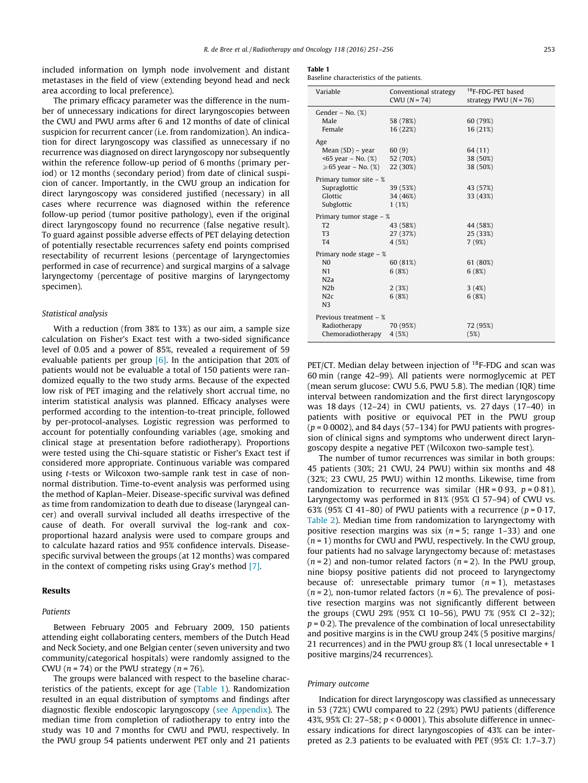included information on lymph node involvement and distant metastases in the field of view (extending beyond head and neck area according to local preference).

The primary efficacy parameter was the difference in the number of unnecessary indications for direct laryngoscopies between the CWU and PWU arms after 6 and 12 months of date of clinical suspicion for recurrent cancer (i.e. from randomization). An indication for direct laryngoscopy was classified as unnecessary if no recurrence was diagnosed on direct laryngoscopy nor subsequently within the reference follow-up period of 6 months (primary period) or 12 months (secondary period) from date of clinical suspicion of cancer. Importantly, in the CWU group an indication for direct laryngoscopy was considered justified (necessary) in all cases where recurrence was diagnosed within the reference follow-up period (tumor positive pathology), even if the original direct laryngoscopy found no recurrence (false negative result). To guard against possible adverse effects of PET delaying detection of potentially resectable recurrences safety end points comprised resectability of recurrent lesions (percentage of laryngectomies performed in case of recurrence) and surgical margins of a salvage laryngectomy (percentage of positive margins of laryngectomy specimen).

#### Statistical analysis

With a reduction (from 38% to 13%) as our aim, a sample size calculation on Fisher's Exact test with a two-sided significance level of 0.05 and a power of 85%, revealed a requirement of 59 evaluable patients per group  $[6]$ . In the anticipation that 20% of patients would not be evaluable a total of 150 patients were randomized equally to the two study arms. Because of the expected low risk of PET imaging and the relatively short accrual time, no interim statistical analysis was planned. Efficacy analyses were performed according to the intention-to-treat principle, followed by per-protocol-analyses. Logistic regression was performed to account for potentially confounding variables (age, smoking and clinical stage at presentation before radiotherapy). Proportions were tested using the Chi-square statistic or Fisher's Exact test if considered more appropriate. Continuous variable was compared using t-tests or Wilcoxon two-sample rank test in case of nonnormal distribution. Time-to-event analysis was performed using the method of Kaplan–Meier. Disease-specific survival was defined as time from randomization to death due to disease (laryngeal cancer) and overall survival included all deaths irrespective of the cause of death. For overall survival the log-rank and coxproportional hazard analysis were used to compare groups and to calculate hazard ratios and 95% confidence intervals. Diseasespecific survival between the groups (at 12 months) was compared in the context of competing risks using Gray's method [\[7\]](#page-6-0).

#### Results

### Patients

Between February 2005 and February 2009, 150 patients attending eight collaborating centers, members of the Dutch Head and Neck Society, and one Belgian center (seven university and two community/categorical hospitals) were randomly assigned to the CWU ( $n = 74$ ) or the PWU strategy ( $n = 76$ ).

The groups were balanced with respect to the baseline characteristics of the patients, except for age (Table 1). Randomization resulted in an equal distribution of symptoms and findings after diagnostic flexible endoscopic laryngoscopy (see Appendix). The median time from completion of radiotherapy to entry into the study was 10 and 7 months for CWU and PWU, respectively. In the PWU group 54 patients underwent PET only and 21 patients

#### Table 1

| Baseline characteristics of the patients. |  |
|-------------------------------------------|--|
|-------------------------------------------|--|

| Variable                 | Conventional strategy<br>CWU $(N = 74)$ | <sup>18</sup> F-FDG-PET based<br>strategy PWU $(N = 76)$ |  |  |  |
|--------------------------|-----------------------------------------|----------------------------------------------------------|--|--|--|
| Gender – No. $(\%)$      |                                         |                                                          |  |  |  |
| Male                     | 58 (78%)                                | 60 (79%)                                                 |  |  |  |
| Female                   | 16 (22%)                                | 16 (21%)                                                 |  |  |  |
| Age                      |                                         |                                                          |  |  |  |
| Mean (SD) – year         | 60(9)                                   | 64 (11)                                                  |  |  |  |
| $55$ year – No. $(\%)$   | 52 (70%)                                | 38 (50%)                                                 |  |  |  |
| $\ge 65$ year – No. (%)  | 22 (30%)                                | 38 (50%)                                                 |  |  |  |
| Primary tumor site $-$ % |                                         |                                                          |  |  |  |
| Supraglottic             | 39 (53%)                                | 43 (57%)                                                 |  |  |  |
| Glottic                  | 34 (46%)                                | 33 (43%)                                                 |  |  |  |
| Subglottic               | 1(1%)                                   |                                                          |  |  |  |
| Primary tumor stage – %  |                                         |                                                          |  |  |  |
| T <sub>2</sub>           | 43 (58%)                                | 44 (58%)                                                 |  |  |  |
| T <sub>3</sub>           | 27 (37%)                                | 25 (33%)                                                 |  |  |  |
| T <sub>4</sub>           | 4(5%)                                   | 7(9%)                                                    |  |  |  |
| Primary node stage – %   |                                         |                                                          |  |  |  |
| N <sub>0</sub>           | 60 (81%)                                | 61 (80%)                                                 |  |  |  |
| N1                       | 6(8%)                                   | 6(8%)                                                    |  |  |  |
| N2a                      |                                         |                                                          |  |  |  |
| N2b                      | 2(3%)                                   | 3(4%)                                                    |  |  |  |
| N2c                      | 6(8%)                                   | 6(8%)                                                    |  |  |  |
| N <sub>3</sub>           |                                         |                                                          |  |  |  |
| Previous treatment - %   |                                         |                                                          |  |  |  |
| Radiotherapy             | 70 (95%)                                | 72 (95%)                                                 |  |  |  |
| Chemoradiotherapy 4 (5%) |                                         | (5%)                                                     |  |  |  |

PET/CT. Median delay between injection of  $^{18}$ F-FDG and scan was 60 min (range 42–99). All patients were normoglycemic at PET (mean serum glucose: CWU 5.6, PWU 5.8). The median (IQR) time interval between randomization and the first direct laryngoscopy was 18 days (12–24) in CWU patients, vs. 27 days (17–40) in patients with positive or equivocal PET in the PWU group  $(p = 0.0002)$ , and 84 days (57–134) for PWU patients with progression of clinical signs and symptoms who underwent direct laryngoscopy despite a negative PET (Wilcoxon two-sample test).

The number of tumor recurrences was similar in both groups: 45 patients (30%; 21 CWU, 24 PWU) within six months and 48 (32%; 23 CWU, 25 PWU) within 12 months. Likewise, time from randomization to recurrence was similar (HR =  $0.93$ ,  $p = 0.81$ ). Laryngectomy was performed in 81% (95% CI 57–94) of CWU vs. 63% (95% CI 41–80) of PWU patients with a recurrence ( $p = 0.17$ , [Table 2\)](#page-4-0). Median time from randomization to laryngectomy with positive resection margins was six ( $n = 5$ ; range 1–33) and one  $(n = 1)$  months for CWU and PWU, respectively. In the CWU group, four patients had no salvage laryngectomy because of: metastases  $(n = 2)$  and non-tumor related factors  $(n = 2)$ . In the PWU group, nine biopsy positive patients did not proceed to laryngectomy because of: unresectable primary tumor  $(n = 1)$ , metastases  $(n = 2)$ , non-tumor related factors  $(n = 6)$ . The prevalence of positive resection margins was not significantly different between the groups (CWU 29% (95% CI 10–56), PWU 7% (95% CI 2–32);  $p = 0.2$ ). The prevalence of the combination of local unresectability and positive margins is in the CWU group 24% (5 positive margins/ 21 recurrences) and in the PWU group 8% (1 local unresectable + 1 positive margins/24 recurrences).

#### Primary outcome

Indication for direct laryngoscopy was classified as unnecessary in 53 (72%) CWU compared to 22 (29%) PWU patients (difference 43%, 95% CI: 27-58;  $p < 0.0001$ ). This absolute difference in unnecessary indications for direct laryngoscopies of 43% can be interpreted as 2.3 patients to be evaluated with PET (95% CI: 1.7–3.7)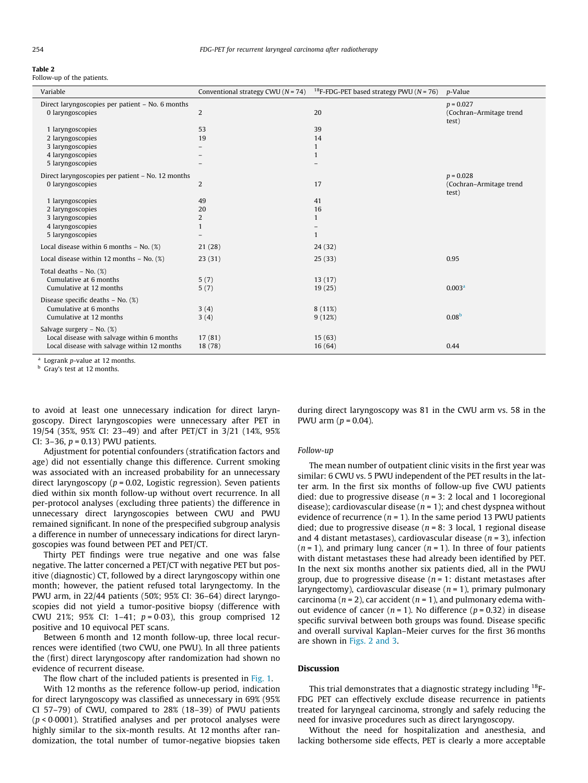<span id="page-4-0"></span>

| × |  |
|---|--|
|---|--|

| Follow-up of the patients. |  |
|----------------------------|--|
|----------------------------|--|

| Variable                                                             | Conventional strategy CWU ( $N = 74$ ) | <sup>18</sup> F-FDG-PET based strategy PWU ( $N = 76$ ) | p-Value                                         |
|----------------------------------------------------------------------|----------------------------------------|---------------------------------------------------------|-------------------------------------------------|
| Direct laryngoscopies per patient - No. 6 months<br>0 laryngoscopies | $\overline{2}$                         | 20                                                      | $p = 0.027$<br>(Cochran-Armitage trend<br>test) |
| 1 laryngoscopies                                                     | 53                                     | 39                                                      |                                                 |
| 2 laryngoscopies                                                     | 19                                     | 14                                                      |                                                 |
| 3 laryngoscopies                                                     |                                        |                                                         |                                                 |
| 4 laryngoscopies                                                     |                                        |                                                         |                                                 |
| 5 laryngoscopies                                                     |                                        |                                                         |                                                 |
| Direct laryngoscopies per patient - No. 12 months                    |                                        |                                                         | $p = 0.028$                                     |
| 0 laryngoscopies                                                     | 2                                      | 17                                                      | (Cochran-Armitage trend                         |
|                                                                      |                                        |                                                         | test)                                           |
| 1 laryngoscopies                                                     | 49                                     | 41                                                      |                                                 |
| 2 laryngoscopies<br>3 laryngoscopies                                 | 20<br>2                                | 16<br>$\mathbf{1}$                                      |                                                 |
| 4 laryngoscopies                                                     | $\mathbf{1}$                           |                                                         |                                                 |
| 5 laryngoscopies                                                     |                                        | $\mathbf{1}$                                            |                                                 |
|                                                                      |                                        |                                                         |                                                 |
| Local disease within 6 months $-$ No. $(\%)$                         | 21(28)                                 | 24(32)                                                  |                                                 |
| Local disease within 12 months $-$ No. $(\%)$                        | 23(31)                                 | 25(33)                                                  | 0.95                                            |
| Total deaths $-$ No. $(\%)$                                          |                                        |                                                         |                                                 |
| Cumulative at 6 months                                               | 5(7)                                   | 13(17)                                                  |                                                 |
| Cumulative at 12 months                                              | 5(7)                                   | 19(25)                                                  | 0.003 <sup>a</sup>                              |
| Disease specific deaths $-$ No. $(\%)$                               |                                        |                                                         |                                                 |
| Cumulative at 6 months                                               | 3(4)                                   | 8(11%)                                                  |                                                 |
| Cumulative at 12 months                                              | 3(4)                                   | 9(12%)                                                  | 0.08 <sup>b</sup>                               |
| Salvage surgery $-$ No. $(\%)$                                       |                                        |                                                         |                                                 |
| Local disease with salvage within 6 months                           | 17(81)                                 | 15(63)                                                  |                                                 |
| Local disease with salvage within 12 months                          | 18 (78)                                | 16(64)                                                  | 0.44                                            |

<sup>a</sup> Logrank p-value at 12 months.

**b** Gray's test at 12 months.

to avoid at least one unnecessary indication for direct laryngoscopy. Direct laryngoscopies were unnecessary after PET in 19/54 (35%, 95% CI: 23–49) and after PET/CT in 3/21 (14%, 95% CI: 3-36,  $p = 0.13$ ) PWU patients.

Adjustment for potential confounders (stratification factors and age) did not essentially change this difference. Current smoking was associated with an increased probability for an unnecessary direct laryngoscopy ( $p = 0.02$ , Logistic regression). Seven patients died within six month follow-up without overt recurrence. In all per-protocol analyses (excluding three patients) the difference in unnecessary direct laryngoscopies between CWU and PWU remained significant. In none of the prespecified subgroup analysis a difference in number of unnecessary indications for direct laryngoscopies was found between PET and PET/CT.

Thirty PET findings were true negative and one was false negative. The latter concerned a PET/CT with negative PET but positive (diagnostic) CT, followed by a direct laryngoscopy within one month; however, the patient refused total laryngectomy. In the PWU arm, in 22/44 patients (50%; 95% CI: 36–64) direct laryngoscopies did not yield a tumor-positive biopsy (difference with CWU 21%; 95% CI: 1-41;  $p = 0.03$ ), this group comprised 12 positive and 10 equivocal PET scans.

Between 6 month and 12 month follow-up, three local recurrences were identified (two CWU, one PWU). In all three patients the (first) direct laryngoscopy after randomization had shown no evidence of recurrent disease.

The flow chart of the included patients is presented in [Fig. 1](#page-5-0).

With 12 months as the reference follow-up period, indication for direct laryngoscopy was classified as unnecessary in 69% (95% CI 57–79) of CWU, compared to 28% (18–39) of PWU patients  $(p < 0.0001)$ . Stratified analyses and per protocol analyses were highly similar to the six-month results. At 12 months after randomization, the total number of tumor-negative biopsies taken during direct laryngoscopy was 81 in the CWU arm vs. 58 in the PWU arm  $(p = 0.04)$ .

#### Follow-up

The mean number of outpatient clinic visits in the first year was similar: 6 CWU vs. 5 PWU independent of the PET results in the latter arm. In the first six months of follow-up five CWU patients died: due to progressive disease ( $n = 3: 2$  local and 1 locoregional disease); cardiovascular disease  $(n = 1)$ ; and chest dyspnea without evidence of recurrence ( $n = 1$ ). In the same period 13 PWU patients died; due to progressive disease ( $n = 8$ : 3 local, 1 regional disease and 4 distant metastases), cardiovascular disease ( $n = 3$ ), infection  $(n = 1)$ , and primary lung cancer  $(n = 1)$ . In three of four patients with distant metastases these had already been identified by PET. In the next six months another six patients died, all in the PWU group, due to progressive disease ( $n = 1$ : distant metastases after laryngectomy), cardiovascular disease ( $n = 1$ ), primary pulmonary carcinoma ( $n = 2$ ), car accident ( $n = 1$ ), and pulmonary edema without evidence of cancer ( $n = 1$ ). No difference ( $p = 0.32$ ) in disease specific survival between both groups was found. Disease specific and overall survival Kaplan–Meier curves for the first 36 months are shown in [Figs. 2 and 3](#page-5-0).

#### Discussion

This trial demonstrates that a diagnostic strategy including <sup>18</sup>F-FDG PET can effectively exclude disease recurrence in patients treated for laryngeal carcinoma, strongly and safely reducing the need for invasive procedures such as direct laryngoscopy.

Without the need for hospitalization and anesthesia, and lacking bothersome side effects, PET is clearly a more acceptable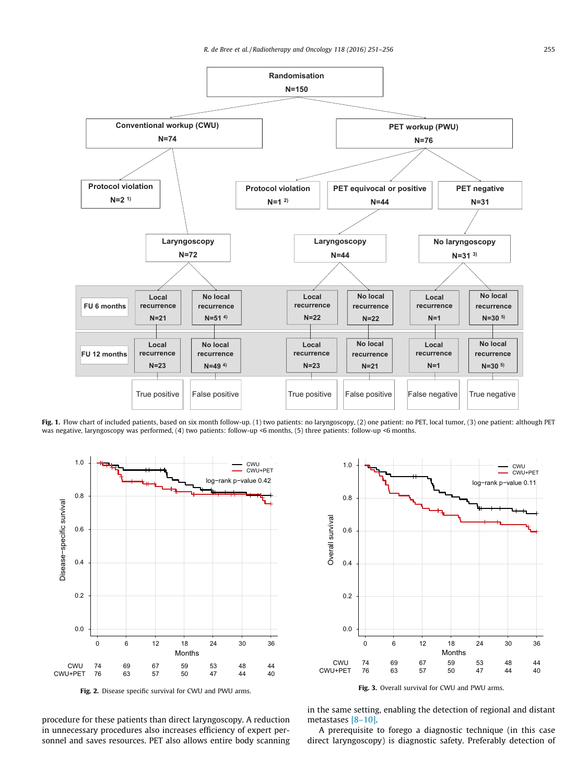<span id="page-5-0"></span>

Fig. 1. Flow chart of included patients, based on six month follow-up. (1) two patients: no laryngoscopy, (2) one patient: no PET, local tumor, (3) one patient: although PET was negative, laryngoscopy was performed, (4) two patients: follow-up <6 months, (5) three patients: follow-up <6 months.





Fig. 2. Disease specific survival for CWU and PWU arms.

Fig. 3. Overall survival for CWU and PWU arms.

procedure for these patients than direct laryngoscopy. A reduction in unnecessary procedures also increases efficiency of expert personnel and saves resources. PET also allows entire body scanning in the same setting, enabling the detection of regional and distant metastases [\[8–10\].](#page-6-0)

A prerequisite to forego a diagnostic technique (in this case direct laryngoscopy) is diagnostic safety. Preferably detection of